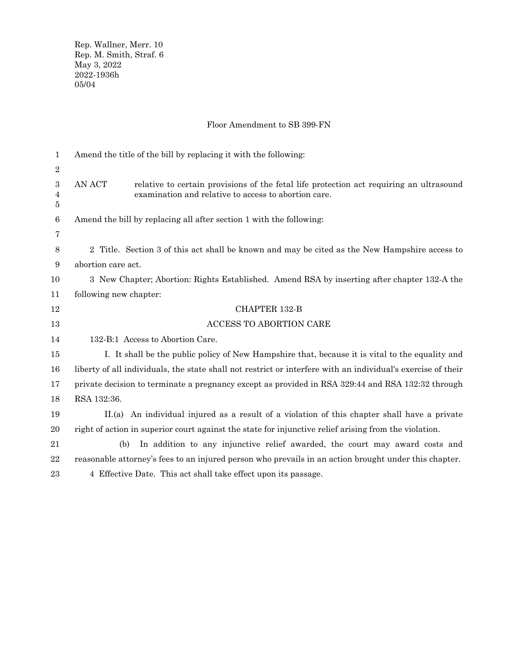Rep. Wallner, Merr. 10 Rep. M. Smith, Straf. 6 May 3, 2022 2022-1936h 05/04

## Floor Amendment to SB 399-FN

| $\mathbf{1}$          | Amend the title of the bill by replacing it with the following:                                                                                           |
|-----------------------|-----------------------------------------------------------------------------------------------------------------------------------------------------------|
| $\boldsymbol{2}$      |                                                                                                                                                           |
| $\,3$<br>4<br>$\bf 5$ | relative to certain provisions of the fetal life protection act requiring an ultrasound<br>AN ACT<br>examination and relative to access to abortion care. |
| $\,6\,$               | Amend the bill by replacing all after section 1 with the following:                                                                                       |
| 7                     |                                                                                                                                                           |
| $8\,$                 | 2 Title. Section 3 of this act shall be known and may be cited as the New Hampshire access to                                                             |
| $\boldsymbol{9}$      | abortion care act.                                                                                                                                        |
| 10                    | 3 New Chapter; Abortion: Rights Established. Amend RSA by inserting after chapter 132-A the                                                               |
| 11                    | following new chapter:                                                                                                                                    |
| 12                    | <b>CHAPTER 132-B</b>                                                                                                                                      |
| 13                    | <b>ACCESS TO ABORTION CARE</b>                                                                                                                            |
| 14                    | 132-B:1 Access to Abortion Care.                                                                                                                          |
| 15                    | I. It shall be the public policy of New Hampshire that, because it is vital to the equality and                                                           |
| 16                    | liberty of all individuals, the state shall not restrict or interfere with an individual's exercise of their                                              |
| 17                    | private decision to terminate a pregnancy except as provided in RSA 329:44 and RSA 132:32 through                                                         |
| 18                    | RSA 132:36.                                                                                                                                               |
| 19                    | II.(a) An individual injured as a result of a violation of this chapter shall have a private                                                              |
| 20                    | right of action in superior court against the state for injunctive relief arising from the violation.                                                     |
| 21                    | In addition to any injunctive relief awarded, the court may award costs and<br>(b)                                                                        |
| 22                    | reasonable attorney's fees to an injured person who prevails in an action brought under this chapter.                                                     |
| 23                    | 4 Effective Date. This act shall take effect upon its passage.                                                                                            |